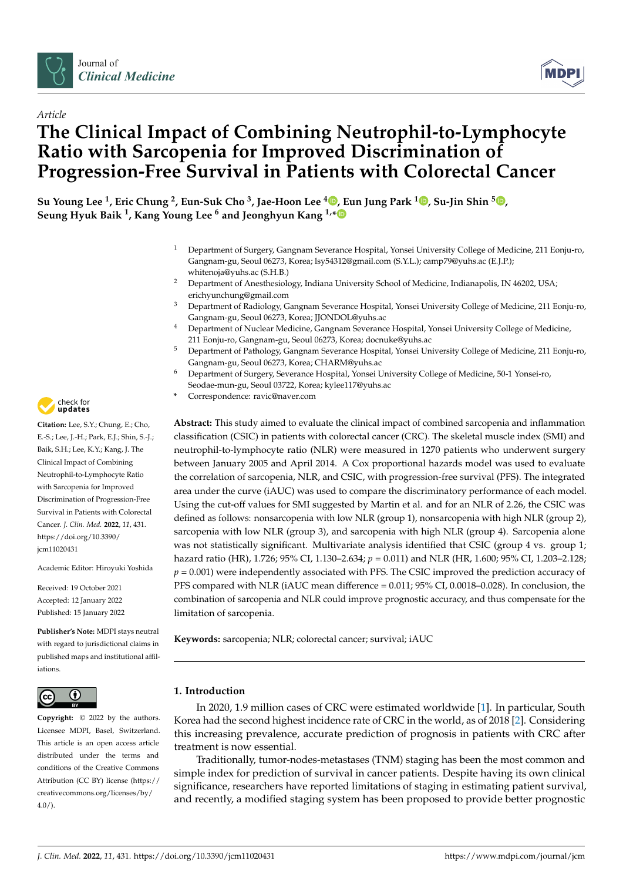



# *Article* **The Clinical Impact of Combining Neutrophil-to-Lymphocyte Ratio with Sarcopenia for Improved Discrimination of Progression-Free Survival in Patients with Colorectal Cancer**

**Su Young Lee <sup>1</sup> , Eric Chung <sup>2</sup> , Eun-Suk Cho <sup>3</sup> , Jae-Hoon Lee <sup>4</sup> [,](https://orcid.org/0000-0002-9898-9886) Eun Jung Park [1](https://orcid.org/0000-0002-4559-2690) , Su-Jin Shin <sup>5</sup> [,](https://orcid.org/0000-0001-9114-8438) Seung Hyuk Baik <sup>1</sup> , Kang Young Lee <sup>6</sup> and Jeonghyun Kang 1,[\\*](https://orcid.org/0000-0001-7311-6053)**

- <sup>1</sup> Department of Surgery, Gangnam Severance Hospital, Yonsei University College of Medicine, 211 Eonju-ro, Gangnam-gu, Seoul 06273, Korea; lsy54312@gmail.com (S.Y.L.); camp79@yuhs.ac (E.J.P.); whitenoja@yuhs.ac (S.H.B.)
- <sup>2</sup> Department of Anesthesiology, Indiana University School of Medicine, Indianapolis, IN 46202, USA; erichyunchung@gmail.com
- <sup>3</sup> Department of Radiology, Gangnam Severance Hospital, Yonsei University College of Medicine, 211 Eonju-ro, Gangnam-gu, Seoul 06273, Korea; JJONDOL@yuhs.ac
- <sup>4</sup> Department of Nuclear Medicine, Gangnam Severance Hospital, Yonsei University College of Medicine, 211 Eonju-ro, Gangnam-gu, Seoul 06273, Korea; docnuke@yuhs.ac
- <sup>5</sup> Department of Pathology, Gangnam Severance Hospital, Yonsei University College of Medicine, 211 Eonju-ro, Gangnam-gu, Seoul 06273, Korea; CHARM@yuhs.ac
- <sup>6</sup> Department of Surgery, Severance Hospital, Yonsei University College of Medicine, 50-1 Yonsei-ro, Seodae-mun-gu, Seoul 03722, Korea; kylee117@yuhs.ac
- **\*** Correspondence: ravic@naver.com

**Abstract:** This study aimed to evaluate the clinical impact of combined sarcopenia and inflammation classification (CSIC) in patients with colorectal cancer (CRC). The skeletal muscle index (SMI) and neutrophil-to-lymphocyte ratio (NLR) were measured in 1270 patients who underwent surgery between January 2005 and April 2014. A Cox proportional hazards model was used to evaluate the correlation of sarcopenia, NLR, and CSIC, with progression-free survival (PFS). The integrated area under the curve (iAUC) was used to compare the discriminatory performance of each model. Using the cut-off values for SMI suggested by Martin et al. and for an NLR of 2.26, the CSIC was defined as follows: nonsarcopenia with low NLR (group 1), nonsarcopenia with high NLR (group 2), sarcopenia with low NLR (group 3), and sarcopenia with high NLR (group 4). Sarcopenia alone was not statistically significant. Multivariate analysis identified that CSIC (group 4 vs. group 1; hazard ratio (HR), 1.726; 95% CI, 1.130–2.634; *p* = 0.011) and NLR (HR, 1.600; 95% CI, 1.203–2.128;  $p = 0.001$ ) were independently associated with PFS. The CSIC improved the prediction accuracy of PFS compared with NLR (iAUC mean difference = 0.011; 95% CI, 0.0018–0.028). In conclusion, the combination of sarcopenia and NLR could improve prognostic accuracy, and thus compensate for the limitation of sarcopenia.

**Keywords:** sarcopenia; NLR; colorectal cancer; survival; iAUC

# **1. Introduction**

In 2020, 1.9 million cases of CRC were estimated worldwide [\[1\]](#page-9-0). In particular, South Korea had the second highest incidence rate of CRC in the world, as of 2018 [\[2\]](#page-9-1). Considering this increasing prevalence, accurate prediction of prognosis in patients with CRC after treatment is now essential.

Traditionally, tumor-nodes-metastases (TNM) staging has been the most common and simple index for prediction of survival in cancer patients. Despite having its own clinical significance, researchers have reported limitations of staging in estimating patient survival, and recently, a modified staging system has been proposed to provide better prognostic



**Citation:** Lee, S.Y.; Chung, E.; Cho, E.-S.; Lee, J.-H.; Park, E.J.; Shin, S.-J.; Baik, S.H.; Lee, K.Y.; Kang, J. The Clinical Impact of Combining Neutrophil-to-Lymphocyte Ratio with Sarcopenia for Improved Discrimination of Progression-Free Survival in Patients with Colorectal Cancer. *J. Clin. Med.* **2022**, *11*, 431. [https://doi.org/10.3390/](https://doi.org/10.3390/jcm11020431) [jcm11020431](https://doi.org/10.3390/jcm11020431)

Academic Editor: Hiroyuki Yoshida

Received: 19 October 2021 Accepted: 12 January 2022 Published: 15 January 2022

**Publisher's Note:** MDPI stays neutral with regard to jurisdictional claims in published maps and institutional affiliations.



**Copyright:** © 2022 by the authors. Licensee MDPI, Basel, Switzerland. This article is an open access article distributed under the terms and conditions of the Creative Commons Attribution (CC BY) license [\(https://](https://creativecommons.org/licenses/by/4.0/) [creativecommons.org/licenses/by/](https://creativecommons.org/licenses/by/4.0/)  $4.0/$ ).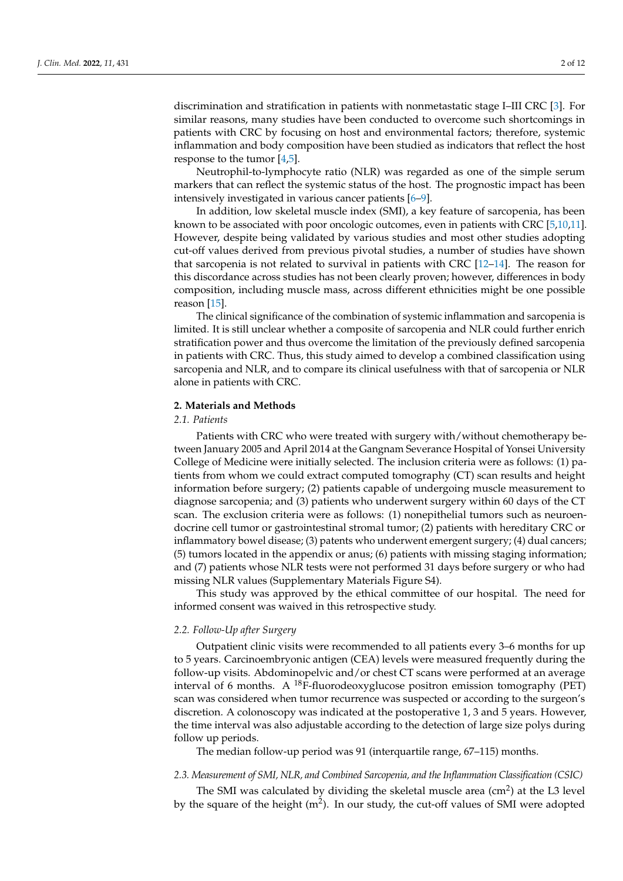discrimination and stratification in patients with nonmetastatic stage I–III CRC [\[3\]](#page-9-2). For similar reasons, many studies have been conducted to overcome such shortcomings in patients with CRC by focusing on host and environmental factors; therefore, systemic inflammation and body composition have been studied as indicators that reflect the host response to the tumor [\[4,](#page-10-0)[5\]](#page-10-1).

Neutrophil-to-lymphocyte ratio (NLR) was regarded as one of the simple serum markers that can reflect the systemic status of the host. The prognostic impact has been intensively investigated in various cancer patients [\[6](#page-10-2)[–9\]](#page-10-3).

In addition, low skeletal muscle index (SMI), a key feature of sarcopenia, has been known to be associated with poor oncologic outcomes, even in patients with CRC [\[5](#page-10-1)[,10](#page-10-4)[,11\]](#page-10-5). However, despite being validated by various studies and most other studies adopting cut-off values derived from previous pivotal studies, a number of studies have shown that sarcopenia is not related to survival in patients with CRC [\[12](#page-10-6)[–14\]](#page-10-7). The reason for this discordance across studies has not been clearly proven; however, differences in body composition, including muscle mass, across different ethnicities might be one possible reason [\[15\]](#page-10-8).

The clinical significance of the combination of systemic inflammation and sarcopenia is limited. It is still unclear whether a composite of sarcopenia and NLR could further enrich stratification power and thus overcome the limitation of the previously defined sarcopenia in patients with CRC. Thus, this study aimed to develop a combined classification using sarcopenia and NLR, and to compare its clinical usefulness with that of sarcopenia or NLR alone in patients with CRC.

# **2. Materials and Methods**

# *2.1. Patients*

Patients with CRC who were treated with surgery with/without chemotherapy between January 2005 and April 2014 at the Gangnam Severance Hospital of Yonsei University College of Medicine were initially selected. The inclusion criteria were as follows: (1) patients from whom we could extract computed tomography (CT) scan results and height information before surgery; (2) patients capable of undergoing muscle measurement to diagnose sarcopenia; and (3) patients who underwent surgery within 60 days of the CT scan. The exclusion criteria were as follows: (1) nonepithelial tumors such as neuroendocrine cell tumor or gastrointestinal stromal tumor; (2) patients with hereditary CRC or inflammatory bowel disease; (3) patents who underwent emergent surgery; (4) dual cancers; (5) tumors located in the appendix or anus; (6) patients with missing staging information; and (7) patients whose NLR tests were not performed 31 days before surgery or who had missing NLR values (Supplementary Materials Figure S4).

This study was approved by the ethical committee of our hospital. The need for informed consent was waived in this retrospective study.

#### *2.2. Follow-Up after Surgery*

Outpatient clinic visits were recommended to all patients every 3–6 months for up to 5 years. Carcinoembryonic antigen (CEA) levels were measured frequently during the follow-up visits. Abdominopelvic and/or chest CT scans were performed at an average interval of 6 months. A  $^{18}F$ -fluorodeoxyglucose positron emission tomography (PET) scan was considered when tumor recurrence was suspected or according to the surgeon's discretion. A colonoscopy was indicated at the postoperative 1, 3 and 5 years. However, the time interval was also adjustable according to the detection of large size polys during follow up periods.

The median follow-up period was 91 (interquartile range, 67–115) months.

#### *2.3. Measurement of SMI, NLR, and Combined Sarcopenia, and the Inflammation Classification (CSIC)*

The SMI was calculated by dividing the skeletal muscle area  $(cm<sup>2</sup>)$  at the L3 level by the square of the height (m<sup>2</sup>). In our study, the cut-off values of SMI were adopted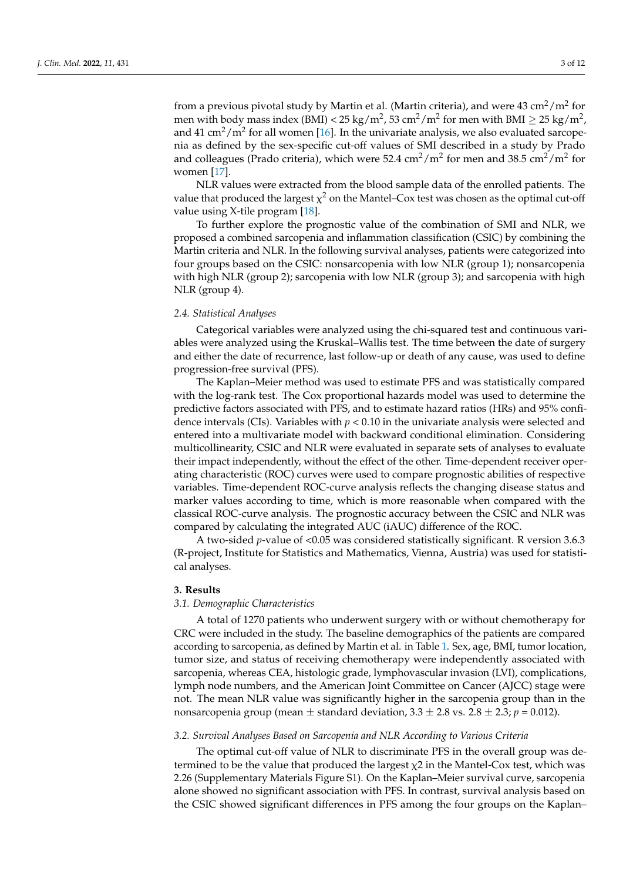from a previous pivotal study by Martin et al. (Martin criteria), and were  $43 \text{ cm}^2/\text{m}^2$  for men with body mass index (BMI) < 25 kg/m<sup>2</sup>, 53 cm<sup>2</sup>/m<sup>2</sup> for men with BMI  $\geq$  25 kg/m<sup>2</sup>, and 41 cm<sup>2</sup>/m<sup>2</sup> for all women [\[16\]](#page-10-9). In the univariate analysis, we also evaluated sarcopenia as defined by the sex-specific cut-off values of SMI described in a study by Prado and colleagues (Prado criteria), which were 52.4 cm $^2/\text{m}^2$  for men and 38.5 cm $^2/\text{m}^2$  for women [\[17\]](#page-10-10).

NLR values were extracted from the blood sample data of the enrolled patients. The value that produced the largest  $\chi^2$  on the Mantel–Cox test was chosen as the optimal cut-off value using X-tile program [\[18\]](#page-10-11).

To further explore the prognostic value of the combination of SMI and NLR, we proposed a combined sarcopenia and inflammation classification (CSIC) by combining the Martin criteria and NLR. In the following survival analyses, patients were categorized into four groups based on the CSIC: nonsarcopenia with low NLR (group 1); nonsarcopenia with high NLR (group 2); sarcopenia with low NLR (group 3); and sarcopenia with high NLR (group 4).

# *2.4. Statistical Analyses*

Categorical variables were analyzed using the chi-squared test and continuous variables were analyzed using the Kruskal–Wallis test. The time between the date of surgery and either the date of recurrence, last follow-up or death of any cause, was used to define progression-free survival (PFS).

The Kaplan–Meier method was used to estimate PFS and was statistically compared with the log-rank test. The Cox proportional hazards model was used to determine the predictive factors associated with PFS, and to estimate hazard ratios (HRs) and 95% confidence intervals (CIs). Variables with  $p < 0.10$  in the univariate analysis were selected and entered into a multivariate model with backward conditional elimination. Considering multicollinearity, CSIC and NLR were evaluated in separate sets of analyses to evaluate their impact independently, without the effect of the other. Time-dependent receiver operating characteristic (ROC) curves were used to compare prognostic abilities of respective variables. Time-dependent ROC-curve analysis reflects the changing disease status and marker values according to time, which is more reasonable when compared with the classical ROC-curve analysis. The prognostic accuracy between the CSIC and NLR was compared by calculating the integrated AUC (iAUC) difference of the ROC.

A two-sided *p*-value of <0.05 was considered statistically significant. R version 3.6.3 (R-project, Institute for Statistics and Mathematics, Vienna, Austria) was used for statistical analyses.

# **3. Results**

#### *3.1. Demographic Characteristics*

A total of 1270 patients who underwent surgery with or without chemotherapy for CRC were included in the study. The baseline demographics of the patients are compared according to sarcopenia, as defined by Martin et al. in Table [1.](#page-3-0) Sex, age, BMI, tumor location, tumor size, and status of receiving chemotherapy were independently associated with sarcopenia, whereas CEA, histologic grade, lymphovascular invasion (LVI), complications, lymph node numbers, and the American Joint Committee on Cancer (AJCC) stage were not. The mean NLR value was significantly higher in the sarcopenia group than in the nonsarcopenia group (mean  $\pm$  standard deviation, 3.3  $\pm$  2.8 vs. 2.8  $\pm$  2.3; *p* = 0.012).

#### *3.2. Survival Analyses Based on Sarcopenia and NLR According to Various Criteria*

The optimal cut-off value of NLR to discriminate PFS in the overall group was determined to be the value that produced the largest  $\chi$ 2 in the Mantel-Cox test, which was 2.26 (Supplementary Materials Figure S1). On the Kaplan–Meier survival curve, sarcopenia alone showed no significant association with PFS. In contrast, survival analysis based on the CSIC showed significant differences in PFS among the four groups on the Kaplan–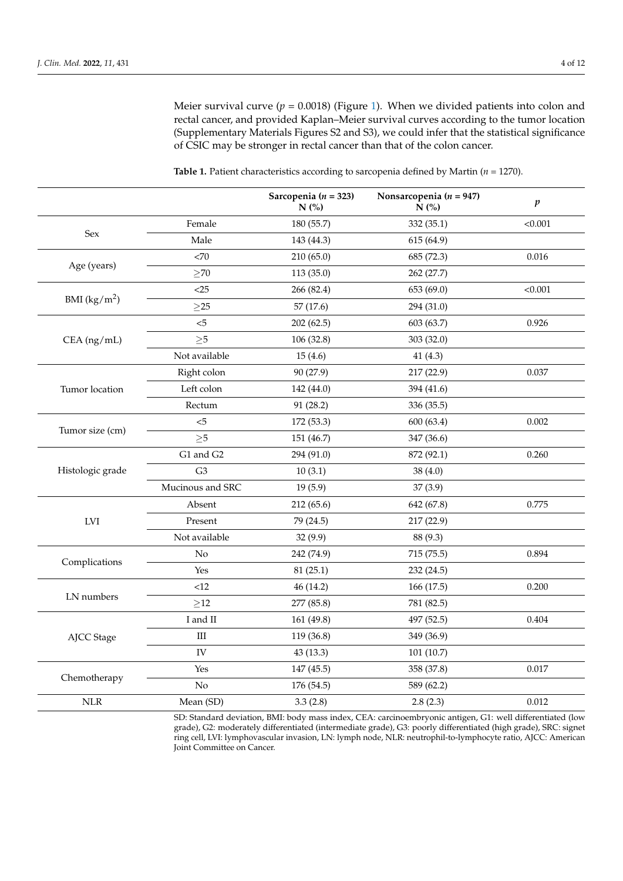Meier survival curve  $(p = 0.0018)$  (Figure [1\)](#page-4-0). When we divided patients into colon and rectal cancer, and provided Kaplan–Meier survival curves according to the tumor location (Supplementary Materials Figures S2 and S3), we could infer that the statistical significance of CSIC may be stronger in rectal cancer than that of the colon cancer.

|                                                                                                                               |                  | Sarcopenia ( $n = 323$ )<br>$N$ (%) | Nonsarcopenia ( $n = 947$ )<br>N(% | $\boldsymbol{p}$                          |
|-------------------------------------------------------------------------------------------------------------------------------|------------------|-------------------------------------|------------------------------------|-------------------------------------------|
|                                                                                                                               | Female           | 180 (55.7)                          | 332 (35.1)                         | < 0.001                                   |
|                                                                                                                               | Male             | 143 (44.3)                          | 615 (64.9)                         |                                           |
|                                                                                                                               | < 70             | 210(65.0)                           | 685 (72.3)                         | 0.016                                     |
|                                                                                                                               | $\geq$ 70        | 113 (35.0)                          | 262 (27.7)                         |                                           |
|                                                                                                                               | $<$ 25           | 266 (82.4)                          | 653 (69.0)                         | < 0.001                                   |
|                                                                                                                               | $\geq$ 25        | 57(17.6)                            | 294 (31.0)                         |                                           |
|                                                                                                                               | $5$              | 202(62.5)                           | 603 (63.7)                         | 0.926                                     |
| $CEA$ (ng/mL)                                                                                                                 | $\geq 5$         | 106 (32.8)                          | 303 (32.0)                         |                                           |
|                                                                                                                               | Not available    | 15(4.6)                             | 41(4.3)                            |                                           |
|                                                                                                                               | Right colon      | 90 (27.9)                           | 217 (22.9)                         | 0.037                                     |
| Tumor location                                                                                                                | Left colon       | 142 (44.0)                          | 394 (41.6)                         |                                           |
|                                                                                                                               | Rectum           | 91 (28.2)                           | 336 (35.5)                         |                                           |
| $< 5$<br>172 (53.3)<br>Tumor size (cm)<br>$\geq 5$<br>151 (46.7)<br>G1 and G2<br>294 (91.0)                                   |                  |                                     | 600 (63.4)                         | 0.002                                     |
|                                                                                                                               | 347 (36.6)       |                                     |                                    |                                           |
|                                                                                                                               |                  |                                     | 872 (92.1)                         | 0.260                                     |
| Histologic grade                                                                                                              | G <sub>3</sub>   | 10(3.1)                             | 38(4.0)                            |                                           |
|                                                                                                                               | Mucinous and SRC | 19(5.9)                             | 37(3.9)                            |                                           |
| <b>Sex</b><br>Age (years)<br>BMI $(kg/m^2)$<br>LVI<br>Complications<br>LN numbers<br>AJCC Stage<br>Chemotherapy<br><b>NLR</b> | Absent           | 212 (65.6)                          | 642 (67.8)                         | 0.775                                     |
|                                                                                                                               | Present          | 79 (24.5)                           | 217 (22.9)                         |                                           |
|                                                                                                                               | Not available    | 32(9.9)                             | 88 (9.3)                           |                                           |
|                                                                                                                               | No               | 242 (74.9)                          | 715 (75.5)                         | 0.894<br>0.200<br>0.404<br>0.017<br>0.012 |
|                                                                                                                               | Yes              | 81(25.1)                            | 232 (24.5)                         |                                           |
|                                                                                                                               | <12              | 46 (14.2)                           | 166 (17.5)                         |                                           |
|                                                                                                                               | $\geq$ 12        | 277 (85.8)                          | 781 (82.5)                         |                                           |
|                                                                                                                               | I and II         | 161 (49.8)                          | 497 (52.5)                         |                                           |
|                                                                                                                               | $\rm III$        | 119 (36.8)                          | 349 (36.9)                         |                                           |
|                                                                                                                               | IV               | 43 (13.3)                           | 101(10.7)                          |                                           |
|                                                                                                                               | Yes              | 147 (45.5)                          | 358 (37.8)                         |                                           |
|                                                                                                                               | No               | 176 (54.5)                          | 589 (62.2)                         |                                           |
|                                                                                                                               | Mean (SD)        | 3.3(2.8)                            | 2.8(2.3)                           |                                           |

<span id="page-3-0"></span>**Table 1.** Patient characteristics according to sarcopenia defined by Martin (*n* = 1270).

SD: Standard deviation, BMI: body mass index, CEA: carcinoembryonic antigen, G1: well differentiated (low grade), G2: moderately differentiated (intermediate grade), G3: poorly differentiated (high grade), SRC: signet ring cell, LVI: lymphovascular invasion, LN: lymph node, NLR: neutrophil-to-lymphocyte ratio, AJCC: American Joint Committee on Cancer.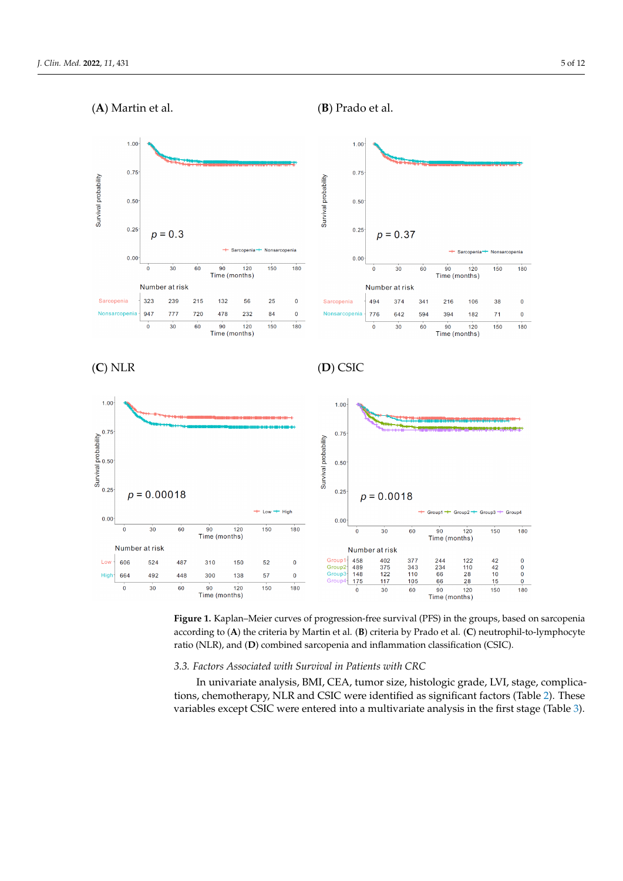<span id="page-4-0"></span>

**Figure 1.** Kaplan–Meier curves of progression-free survival (PFS) in the groups, based on sarcopenia **Figure 1.** Kaplan–Meier curves of progression-free survival (PFS) in the groups, based on sarcopenia according to (A) the criteria by Martin et al. (B) criteria by Prado et al. (C) neutrophil-to-lymphocyte ratio (NLR), and (**D**) combined sarcopenia and inflammation classification (CSIC).

## *3.3. Factors Associated with Survival in Patients with CRC*

*3.3. Factors Associated with Survival in Patients with CRC*  In univariate analysis, BMI, CEA, tumor size, histologic grade, LVI, stage, complica-tions, chemotherapy, NLR and CSIC were identified as significant factors (Table [2\)](#page-5-0). These variables except CSIC were entered into a multivariate analysis in the first stage (Table [3\)](#page-6-0).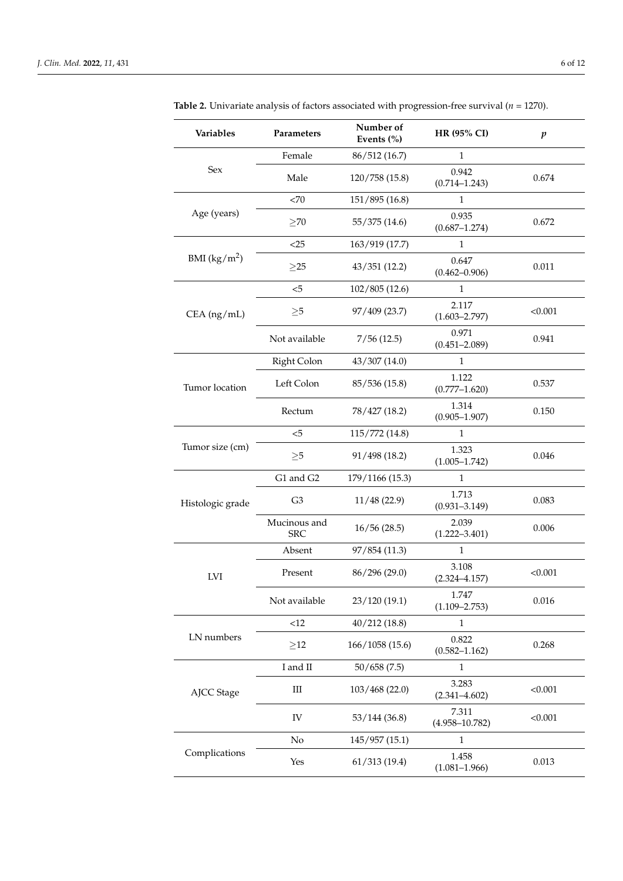| <b>Variables</b> | Parameters                 | Number of<br>Events (%) | <b>HR (95% CI)</b>          | $\boldsymbol{p}$ |
|------------------|----------------------------|-------------------------|-----------------------------|------------------|
|                  | Female                     | 86/512 (16.7)           | 1                           |                  |
| Sex              | Male                       | 120/758 (15.8)          | 0.942<br>$(0.714 - 1.243)$  | 0.674            |
|                  | <70                        | 151/895 (16.8)          | 1                           |                  |
| Age (years)      | >70                        | 55/375 (14.6)           | 0.935<br>$(0.687 - 1.274)$  | 0.672            |
|                  | $<$ 25                     | 163/919 (17.7)          | $\mathbf{1}$                |                  |
| BMI $(kg/m^2)$   | $\geq$ 25                  | 43/351(12.2)            | 0.647<br>$(0.462 - 0.906)$  | 0.011            |
|                  | $<$ 5                      | 102/805 (12.6)          | $\mathbf{1}$                |                  |
| $CEA$ (ng/mL)    | $\geq 5$                   | 97/409 (23.7)           | 2.117<br>$(1.603 - 2.797)$  | < 0.001          |
|                  | Not available              | 7/56(12.5)              | 0.971<br>$(0.451 - 2.089)$  | 0.941            |
|                  | Right Colon                | 43/307 (14.0)           | $\mathbf{1}$                |                  |
| Tumor location   | Left Colon                 | 85/536 (15.8)           | 1.122<br>$(0.777 - 1.620)$  | 0.537            |
|                  | Rectum                     | 78/427 (18.2)           | 1.314<br>$(0.905 - 1.907)$  | 0.150            |
|                  | $5$                        | 115/772 (14.8)          | $\mathbf{1}$                |                  |
| Tumor size (cm)  | $\geq 5$                   | 91/498 (18.2)           | 1.323<br>$(1.005 - 1.742)$  | 0.046            |
|                  | G1 and G2                  | 179/1166 (15.3)         | $\mathbf{1}$                |                  |
| Histologic grade | G <sub>3</sub>             | 11/48(22.9)             | 1.713<br>$(0.931 - 3.149)$  | 0.083            |
|                  | Mucinous and<br><b>SRC</b> | 16/56(28.5)             | 2.039<br>$(1.222 - 3.401)$  | 0.006            |
|                  | Absent                     | 97/854 (11.3)           | 1                           |                  |
| <b>LVI</b>       | Present                    | 86/296 (29.0)           | 3.108<br>$(2.324 - 4.157)$  | < 0.001          |
|                  | Not available              | 23/120 (19.1)           | 1.747<br>$(1.109 - 2.753)$  | 0.016            |
|                  | <12                        | 40/212(18.8)            | $\mathbf{1}$                |                  |
| LN numbers       | $\geq$ 12                  | 166/1058 (15.6)         | 0.822<br>$(0.582 - 1.162)$  | 0.268            |
|                  | I and II                   | 50/658(7.5)             | 1                           |                  |
| AJCC Stage       | Ш                          | 103/468 (22.0)          | 3.283<br>$(2.341 - 4.602)$  | < 0.001          |
|                  | IV                         | 53/144(36.8)            | 7.311<br>$(4.958 - 10.782)$ | < 0.001          |
|                  | No                         | 145/957 (15.1)          | $\mathbf{1}$                |                  |
| Complications    | Yes                        | 61/313(19.4)            | 1.458<br>$(1.081 - 1.966)$  | 0.013            |

<span id="page-5-0"></span>**Table 2.** Univariate analysis of factors associated with progression-free survival (*n* = 1270).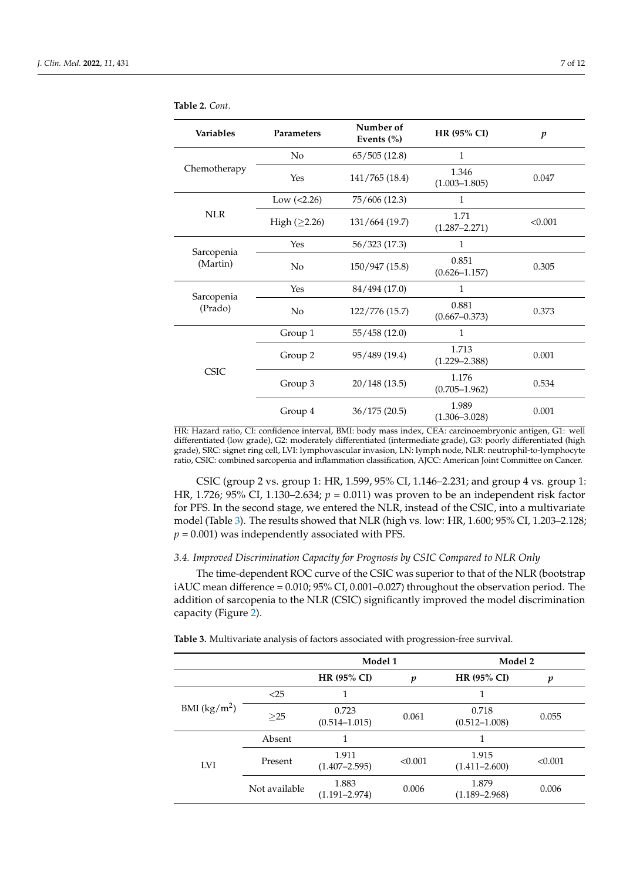| <b>Variables</b>       | <b>Parameters</b>  | Number of<br>Events (%) | HR (95% CI)                | $\boldsymbol{p}$ |
|------------------------|--------------------|-------------------------|----------------------------|------------------|
|                        | No                 | 65/505(12.8)            | 1                          |                  |
| Chemotherapy           | Yes                | 141/765 (18.4)          | 1.346<br>$(1.003 - 1.805)$ | 0.047            |
|                        | Low $(<2.26)$      | 75/606 (12.3)           | 1                          |                  |
| <b>NLR</b>             | High $(\geq 2.26)$ | 131/664 (19.7)          | 1.71<br>$(1.287 - 2.271)$  | < 0.001          |
|                        | Yes                | 56/323 (17.3)           | $\mathbf{1}$               |                  |
| Sarcopenia<br>(Martin) | N <sub>o</sub>     | 150/947 (15.8)          | 0.851<br>$(0.626 - 1.157)$ | 0.305            |
|                        | Yes                | 84/494 (17.0)           | 1                          |                  |
| Sarcopenia<br>(Prado)  | N <sub>o</sub>     | 122/776 (15.7)          | 0.881<br>$(0.667 - 0.373)$ | 0.373            |
|                        | Group 1            | 55/458 (12.0)           | 1                          |                  |
| <b>CSIC</b>            | Group 2            | 95/489 (19.4)           | 1.713<br>$(1.229 - 2.388)$ | 0.001            |
|                        | Group 3            | 20/148(13.5)            | 1.176<br>$(0.705 - 1.962)$ | 0.534            |
|                        | Group 4            | 36/175(20.5)            | 1.989<br>$(1.306 - 3.028)$ | 0.001            |

**Table 2.** *Cont.*

HR: Hazard ratio, CI: confidence interval, BMI: body mass index, CEA: carcinoembryonic antigen, G1: well differentiated (low grade), G2: moderately differentiated (intermediate grade), G3: poorly differentiated (high grade), SRC: signet ring cell, LVI: lymphovascular invasion, LN: lymph node, NLR: neutrophil-to-lymphocyte ratio, CSIC: combined sarcopenia and inflammation classification, AJCC: American Joint Committee on Cancer.

CSIC (group 2 vs. group 1: HR, 1.599, 95% CI, 1.146–2.231; and group 4 vs. group 1: HR, 1.726; 95% CI, 1.130–2.634; *p* = 0.011) was proven to be an independent risk factor for PFS. In the second stage, we entered the NLR, instead of the CSIC, into a multivariate model (Table [3\)](#page-6-0). The results showed that NLR (high vs. low: HR, 1.600; 95% CI, 1.203–2.128;  $p = 0.001$ ) was independently associated with PFS.

# *3.4. Improved Discrimination Capacity for Prognosis by CSIC Compared to NLR Only*

The time-dependent ROC curve of the CSIC was superior to that of the NLR (bootstrap iAUC mean difference = 0.010; 95% CI, 0.001–0.027) throughout the observation period. The addition of sarcopenia to the NLR (CSIC) significantly improved the model discrimination capacity (Figure [2\)](#page-7-0).

<span id="page-6-0"></span>**Table 3.** Multivariate analysis of factors associated with progression-free survival.

|                |               | Model 1                    |         | Model 2                    |         |
|----------------|---------------|----------------------------|---------|----------------------------|---------|
|                |               | <b>HR (95% CI)</b>         | p       | <b>HR (95% CI)</b>         | p       |
|                | $<$ 25        |                            |         |                            |         |
| BMI $(kg/m^2)$ | $\geq$ 25     | 0.723<br>$(0.514 - 1.015)$ | 0.061   | 0.718<br>$(0.512 - 1.008)$ | 0.055   |
|                | Absent        |                            |         |                            |         |
| <b>LVI</b>     | Present       | 1.911<br>$(1.407 - 2.595)$ | < 0.001 | 1.915<br>$(1.411 - 2.600)$ | < 0.001 |
|                | Not available | 1.883<br>$(1.191 - 2.974)$ | 0.006   | 1.879<br>$(1.189 - 2.968)$ | 0.006   |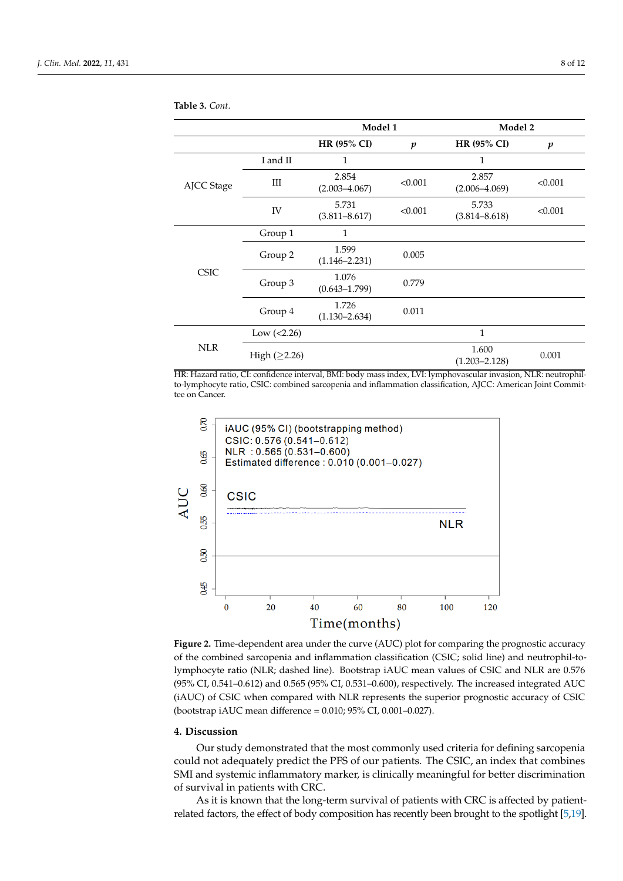|             |                    | Model 1                    |                  | Model 2                    |                  |
|-------------|--------------------|----------------------------|------------------|----------------------------|------------------|
|             |                    | HR (95% CI)                | $\boldsymbol{p}$ | <b>HR (95% CI)</b>         | $\boldsymbol{p}$ |
| AJCC Stage  | I and II           | 1                          |                  | 1                          |                  |
|             | Ш                  | 2.854<br>$(2.003 - 4.067)$ | < 0.001          | 2.857<br>$(2.006 - 4.069)$ | < 0.001          |
|             | IV                 | 5.731<br>$(3.811 - 8.617)$ | < 0.001          | 5.733<br>$(3.814 - 8.618)$ | < 0.001          |
| <b>CSIC</b> | Group 1            | 1                          |                  |                            |                  |
|             | Group 2            | 1.599<br>$(1.146 - 2.231)$ | 0.005            |                            |                  |
|             | Group 3            | 1.076<br>$(0.643 - 1.799)$ | 0.779            |                            |                  |
|             | Group 4            | 1.726<br>$(1.130 - 2.634)$ | 0.011            |                            |                  |
| <b>NLR</b>  | Low $(<2.26)$      |                            |                  | 1                          |                  |
|             | High $(\geq 2.26)$ |                            |                  | 1.600<br>$(1.203 - 2.128)$ | 0.001            |

**Table 3.** *Cont.*

HR: Hazard ratio, CI: confidence interval, BMI: body mass index, LVI: lymphovascular invasion, NLR: neutrophilto-lymphocyte ratio, CSIC: combined sarcopenia and inflammation classification, AJCC: American Joint Committee on Cancer.

<span id="page-7-0"></span>

**Figure 2.** Time-dependent area under the curve (AUC) plot for comparing the prognostic accuracy **Figure 2.** Time-dependent area under the curve (AUC) plot for comparing the prognostic accuracy of the combined sarcopenia and inflammation classification (CSIC; solid line) and neutrophil-to-of the combined sarcopenia and inflammation classification (CSIC; solid line) and neutrophil-tolymphocyte ratio (NLR; dashed line). Bootstrap iAUC mean values of CSIC and NLR are 0.576 (95% CI, 0.541-0.612) and 0.565 (95% CI, 0.531-0.600), respectively. The increased integrated AUC (iAUC) of CSIC when compared with NLR represents the superior prognostic accuracy of CSIC (bootstrap iAUC mean difference =  $0.010$ ;  $95\%$  CI,  $0.001 - 0.027$ ).

# **4. Discussion 4. Discussion**

Our study demonstrated that the most commonly used criteria for defining sarcopenia could not adequately predict the PFS of our patients. The CSIC, an index that combines SMI and systemic inflammatory marker, is clinically meaningful for better discrimination SMI and systemic inflammatory marker, is clinically meaningful for better discrimination of survival in patients with CRC.

As it is known that the long-term survival of patients with CRC is affected by patientrelated factors, the effect of body composition has recently been brought to the spotlight [\[5,](#page-10-1)[19\]](#page-10-12).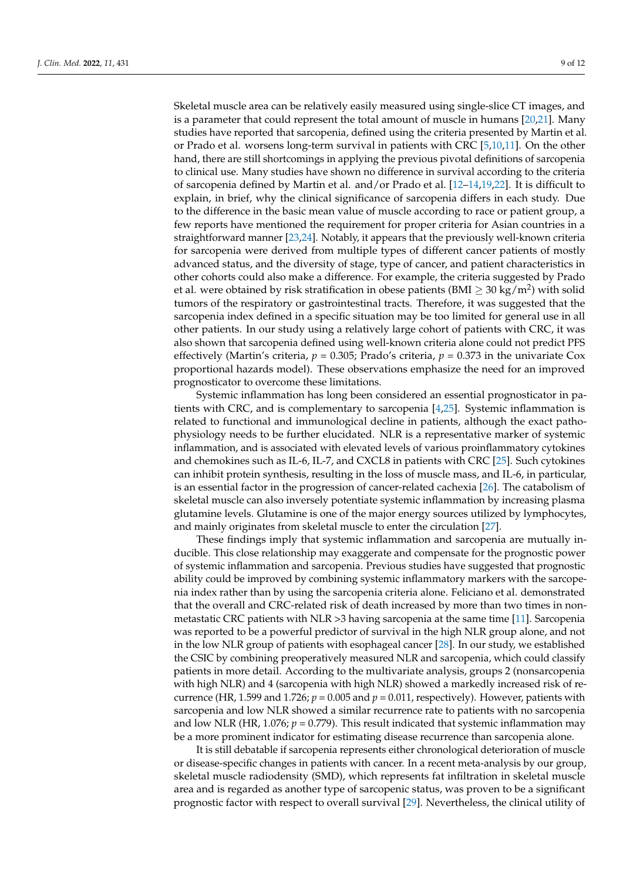Skeletal muscle area can be relatively easily measured using single-slice CT images, and is a parameter that could represent the total amount of muscle in humans [\[20,](#page-10-13)[21\]](#page-10-14). Many studies have reported that sarcopenia, defined using the criteria presented by Martin et al. or Prado et al. worsens long-term survival in patients with CRC [\[5](#page-10-1)[,10](#page-10-4)[,11\]](#page-10-5). On the other hand, there are still shortcomings in applying the previous pivotal definitions of sarcopenia to clinical use. Many studies have shown no difference in survival according to the criteria of sarcopenia defined by Martin et al. and/or Prado et al. [\[12–](#page-10-6)[14,](#page-10-7)[19,](#page-10-12)[22\]](#page-10-15). It is difficult to explain, in brief, why the clinical significance of sarcopenia differs in each study. Due to the difference in the basic mean value of muscle according to race or patient group, a few reports have mentioned the requirement for proper criteria for Asian countries in a straightforward manner [\[23](#page-10-16)[,24\]](#page-10-17). Notably, it appears that the previously well-known criteria for sarcopenia were derived from multiple types of different cancer patients of mostly advanced status, and the diversity of stage, type of cancer, and patient characteristics in other cohorts could also make a difference. For example, the criteria suggested by Prado et al. were obtained by risk stratification in obese patients (BMI  $\geq$  30 kg/m<sup>2</sup>) with solid tumors of the respiratory or gastrointestinal tracts. Therefore, it was suggested that the sarcopenia index defined in a specific situation may be too limited for general use in all other patients. In our study using a relatively large cohort of patients with CRC, it was also shown that sarcopenia defined using well-known criteria alone could not predict PFS effectively (Martin's criteria, *p* = 0.305; Prado's criteria, *p* = 0.373 in the univariate Cox proportional hazards model). These observations emphasize the need for an improved prognosticator to overcome these limitations.

Systemic inflammation has long been considered an essential prognosticator in patients with CRC, and is complementary to sarcopenia [\[4](#page-10-0)[,25\]](#page-10-18). Systemic inflammation is related to functional and immunological decline in patients, although the exact pathophysiology needs to be further elucidated. NLR is a representative marker of systemic inflammation, and is associated with elevated levels of various proinflammatory cytokines and chemokines such as IL-6, IL-7, and CXCL8 in patients with CRC [\[25\]](#page-10-18). Such cytokines can inhibit protein synthesis, resulting in the loss of muscle mass, and IL-6, in particular, is an essential factor in the progression of cancer-related cachexia [\[26\]](#page-10-19). The catabolism of skeletal muscle can also inversely potentiate systemic inflammation by increasing plasma glutamine levels. Glutamine is one of the major energy sources utilized by lymphocytes, and mainly originates from skeletal muscle to enter the circulation [\[27\]](#page-10-20).

These findings imply that systemic inflammation and sarcopenia are mutually inducible. This close relationship may exaggerate and compensate for the prognostic power of systemic inflammation and sarcopenia. Previous studies have suggested that prognostic ability could be improved by combining systemic inflammatory markers with the sarcopenia index rather than by using the sarcopenia criteria alone. Feliciano et al. demonstrated that the overall and CRC-related risk of death increased by more than two times in nonmetastatic CRC patients with NLR  $>3$  having sarcopenia at the same time [\[11\]](#page-10-5). Sarcopenia was reported to be a powerful predictor of survival in the high NLR group alone, and not in the low NLR group of patients with esophageal cancer [\[28\]](#page-11-0). In our study, we established the CSIC by combining preoperatively measured NLR and sarcopenia, which could classify patients in more detail. According to the multivariate analysis, groups 2 (nonsarcopenia with high NLR) and 4 (sarcopenia with high NLR) showed a markedly increased risk of recurrence (HR, 1.599 and 1.726;  $p = 0.005$  and  $p = 0.011$ , respectively). However, patients with sarcopenia and low NLR showed a similar recurrence rate to patients with no sarcopenia and low NLR (HR, 1.076;  $p = 0.779$ ). This result indicated that systemic inflammation may be a more prominent indicator for estimating disease recurrence than sarcopenia alone.

It is still debatable if sarcopenia represents either chronological deterioration of muscle or disease-specific changes in patients with cancer. In a recent meta-analysis by our group, skeletal muscle radiodensity (SMD), which represents fat infiltration in skeletal muscle area and is regarded as another type of sarcopenic status, was proven to be a significant prognostic factor with respect to overall survival [\[29\]](#page-11-1). Nevertheless, the clinical utility of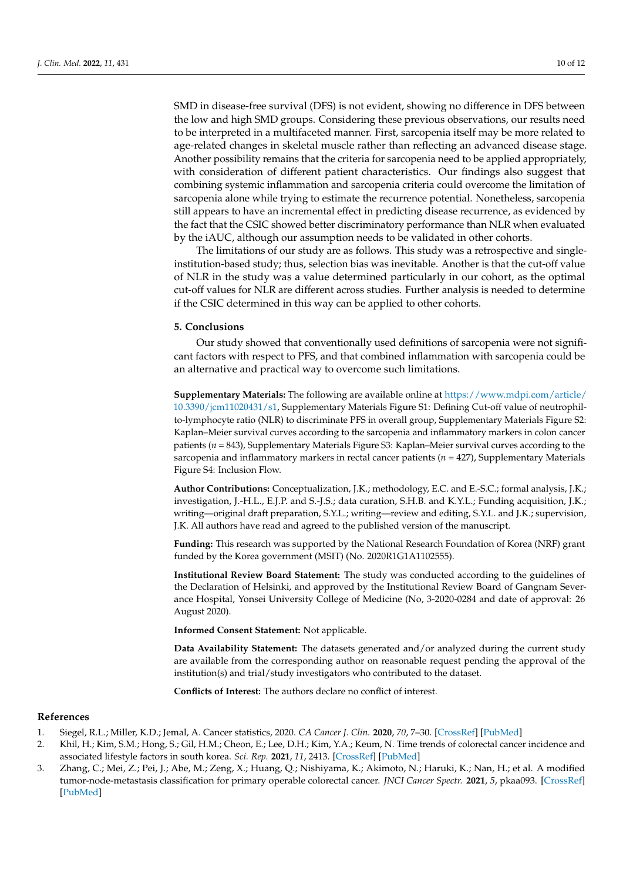SMD in disease-free survival (DFS) is not evident, showing no difference in DFS between the low and high SMD groups. Considering these previous observations, our results need to be interpreted in a multifaceted manner. First, sarcopenia itself may be more related to age-related changes in skeletal muscle rather than reflecting an advanced disease stage. Another possibility remains that the criteria for sarcopenia need to be applied appropriately, with consideration of different patient characteristics. Our findings also suggest that combining systemic inflammation and sarcopenia criteria could overcome the limitation of sarcopenia alone while trying to estimate the recurrence potential. Nonetheless, sarcopenia still appears to have an incremental effect in predicting disease recurrence, as evidenced by the fact that the CSIC showed better discriminatory performance than NLR when evaluated by the iAUC, although our assumption needs to be validated in other cohorts.

The limitations of our study are as follows. This study was a retrospective and singleinstitution-based study; thus, selection bias was inevitable. Another is that the cut-off value of NLR in the study was a value determined particularly in our cohort, as the optimal cut-off values for NLR are different across studies. Further analysis is needed to determine if the CSIC determined in this way can be applied to other cohorts.

#### **5. Conclusions**

Our study showed that conventionally used definitions of sarcopenia were not significant factors with respect to PFS, and that combined inflammation with sarcopenia could be an alternative and practical way to overcome such limitations.

**Supplementary Materials:** The following are available online at [https://www.mdpi.com/article/](https://www.mdpi.com/article/10.3390/jcm11020431/s1) [10.3390/jcm11020431/s1,](https://www.mdpi.com/article/10.3390/jcm11020431/s1) Supplementary Materials Figure S1: Defining Cut-off value of neutrophilto-lymphocyte ratio (NLR) to discriminate PFS in overall group, Supplementary Materials Figure S2: Kaplan–Meier survival curves according to the sarcopenia and inflammatory markers in colon cancer patients (*n* = 843), Supplementary Materials Figure S3: Kaplan–Meier survival curves according to the sarcopenia and inflammatory markers in rectal cancer patients  $(n = 427)$ , Supplementary Materials Figure S4: Inclusion Flow.

**Author Contributions:** Conceptualization, J.K.; methodology, E.C. and E.-S.C.; formal analysis, J.K.; investigation, J.-H.L., E.J.P. and S.-J.S.; data curation, S.H.B. and K.Y.L.; Funding acquisition, J.K.; writing—original draft preparation, S.Y.L.; writing—review and editing, S.Y.L. and J.K.; supervision, J.K. All authors have read and agreed to the published version of the manuscript.

**Funding:** This research was supported by the National Research Foundation of Korea (NRF) grant funded by the Korea government (MSIT) (No. 2020R1G1A1102555).

**Institutional Review Board Statement:** The study was conducted according to the guidelines of the Declaration of Helsinki, and approved by the Institutional Review Board of Gangnam Severance Hospital, Yonsei University College of Medicine (No, 3-2020-0284 and date of approval: 26 August 2020).

**Informed Consent Statement:** Not applicable.

**Data Availability Statement:** The datasets generated and/or analyzed during the current study are available from the corresponding author on reasonable request pending the approval of the institution(s) and trial/study investigators who contributed to the dataset.

**Conflicts of Interest:** The authors declare no conflict of interest.

#### **References**

- <span id="page-9-0"></span>1. Siegel, R.L.; Miller, K.D.; Jemal, A. Cancer statistics, 2020. *CA Cancer J. Clin.* **2020**, *70*, 7–30. [\[CrossRef\]](http://doi.org/10.3322/caac.21590) [\[PubMed\]](http://www.ncbi.nlm.nih.gov/pubmed/31912902)
- <span id="page-9-1"></span>2. Khil, H.; Kim, S.M.; Hong, S.; Gil, H.M.; Cheon, E.; Lee, D.H.; Kim, Y.A.; Keum, N. Time trends of colorectal cancer incidence and associated lifestyle factors in south korea. *Sci. Rep.* **2021**, *11*, 2413. [\[CrossRef\]](http://doi.org/10.1038/s41598-021-81877-2) [\[PubMed\]](http://www.ncbi.nlm.nih.gov/pubmed/33510236)
- <span id="page-9-2"></span>3. Zhang, C.; Mei, Z.; Pei, J.; Abe, M.; Zeng, X.; Huang, Q.; Nishiyama, K.; Akimoto, N.; Haruki, K.; Nan, H.; et al. A modified tumor-node-metastasis classification for primary operable colorectal cancer. *JNCI Cancer Spectr.* **2021**, *5*, pkaa093. [\[CrossRef\]](http://doi.org/10.1093/jncics/pkaa093) [\[PubMed\]](http://www.ncbi.nlm.nih.gov/pubmed/33554032)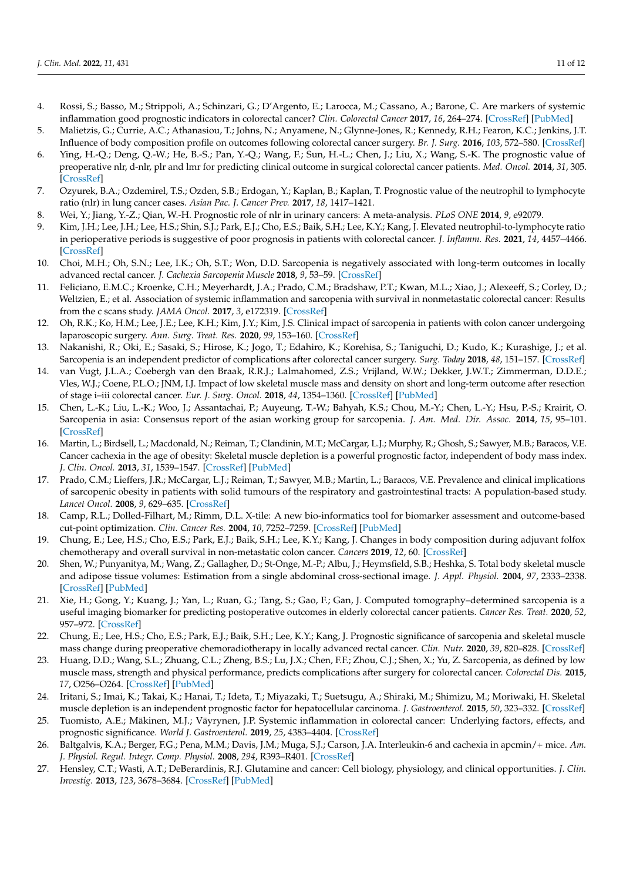- <span id="page-10-0"></span>4. Rossi, S.; Basso, M.; Strippoli, A.; Schinzari, G.; D'Argento, E.; Larocca, M.; Cassano, A.; Barone, C. Are markers of systemic inflammation good prognostic indicators in colorectal cancer? *Clin. Colorectal Cancer* **2017**, *16*, 264–274. [\[CrossRef\]](http://doi.org/10.1016/j.clcc.2017.03.015) [\[PubMed\]](http://www.ncbi.nlm.nih.gov/pubmed/28412137)
- <span id="page-10-1"></span>5. Malietzis, G.; Currie, A.C.; Athanasiou, T.; Johns, N.; Anyamene, N.; Glynne-Jones, R.; Kennedy, R.H.; Fearon, K.C.; Jenkins, J.T. Influence of body composition profile on outcomes following colorectal cancer surgery. *Br. J. Surg.* **2016**, *103*, 572–580. [\[CrossRef\]](http://doi.org/10.1002/bjs.10075)
- <span id="page-10-2"></span>6. Ying, H.-Q.; Deng, Q.-W.; He, B.-S.; Pan, Y.-Q.; Wang, F.; Sun, H.-L.; Chen, J.; Liu, X.; Wang, S.-K. The prognostic value of preoperative nlr, d-nlr, plr and lmr for predicting clinical outcome in surgical colorectal cancer patients. *Med. Oncol.* **2014**, *31*, 305. [\[CrossRef\]](http://doi.org/10.1007/s12032-014-0305-0)
- 7. Ozyurek, B.A.; Ozdemirel, T.S.; Ozden, S.B.; Erdogan, Y.; Kaplan, B.; Kaplan, T. Prognostic value of the neutrophil to lymphocyte ratio (nlr) in lung cancer cases. *Asian Pac. J. Cancer Prev.* **2017**, *18*, 1417–1421.
- 8. Wei, Y.; Jiang, Y.-Z.; Qian, W.-H. Prognostic role of nlr in urinary cancers: A meta-analysis. *PLoS ONE* **2014**, *9*, e92079.
- <span id="page-10-3"></span>9. Kim, J.H.; Lee, J.H.; Lee, H.S.; Shin, S.J.; Park, E.J.; Cho, E.S.; Baik, S.H.; Lee, K.Y.; Kang, J. Elevated neutrophil-to-lymphocyte ratio in perioperative periods is suggestive of poor prognosis in patients with colorectal cancer. *J. Inflamm. Res.* **2021**, *14*, 4457–4466. [\[CrossRef\]](http://doi.org/10.2147/JIR.S327443)
- <span id="page-10-4"></span>10. Choi, M.H.; Oh, S.N.; Lee, I.K.; Oh, S.T.; Won, D.D. Sarcopenia is negatively associated with long-term outcomes in locally advanced rectal cancer. *J. Cachexia Sarcopenia Muscle* **2018**, *9*, 53–59. [\[CrossRef\]](http://doi.org/10.1002/jcsm.12234)
- <span id="page-10-5"></span>11. Feliciano, E.M.C.; Kroenke, C.H.; Meyerhardt, J.A.; Prado, C.M.; Bradshaw, P.T.; Kwan, M.L.; Xiao, J.; Alexeeff, S.; Corley, D.; Weltzien, E.; et al. Association of systemic inflammation and sarcopenia with survival in nonmetastatic colorectal cancer: Results from the c scans study. *JAMA Oncol.* **2017**, *3*, e172319. [\[CrossRef\]](http://doi.org/10.1001/jamaoncol.2017.2319)
- <span id="page-10-6"></span>12. Oh, R.K.; Ko, H.M.; Lee, J.E.; Lee, K.H.; Kim, J.Y.; Kim, J.S. Clinical impact of sarcopenia in patients with colon cancer undergoing laparoscopic surgery. *Ann. Surg. Treat. Res.* **2020**, *99*, 153–160. [\[CrossRef\]](http://doi.org/10.4174/astr.2020.99.3.153)
- 13. Nakanishi, R.; Oki, E.; Sasaki, S.; Hirose, K.; Jogo, T.; Edahiro, K.; Korehisa, S.; Taniguchi, D.; Kudo, K.; Kurashige, J.; et al. Sarcopenia is an independent predictor of complications after colorectal cancer surgery. *Surg. Today* **2018**, *48*, 151–157. [\[CrossRef\]](http://doi.org/10.1007/s00595-017-1564-0)
- <span id="page-10-7"></span>14. van Vugt, J.L.A.; Coebergh van den Braak, R.R.J.; Lalmahomed, Z.S.; Vrijland, W.W.; Dekker, J.W.T.; Zimmerman, D.D.E.; Vles, W.J.; Coene, P.L.O.; JNM, I.J. Impact of low skeletal muscle mass and density on short and long-term outcome after resection of stage i–iii colorectal cancer. *Eur. J. Surg. Oncol.* **2018**, *44*, 1354–1360. [\[CrossRef\]](http://doi.org/10.1016/j.ejso.2018.05.029) [\[PubMed\]](http://www.ncbi.nlm.nih.gov/pubmed/29914788)
- <span id="page-10-8"></span>15. Chen, L.-K.; Liu, L.-K.; Woo, J.; Assantachai, P.; Auyeung, T.-W.; Bahyah, K.S.; Chou, M.-Y.; Chen, L.-Y.; Hsu, P.-S.; Krairit, O. Sarcopenia in asia: Consensus report of the asian working group for sarcopenia. *J. Am. Med. Dir. Assoc.* **2014**, *15*, 95–101. [\[CrossRef\]](http://doi.org/10.1016/j.jamda.2013.11.025)
- <span id="page-10-9"></span>16. Martin, L.; Birdsell, L.; Macdonald, N.; Reiman, T.; Clandinin, M.T.; McCargar, L.J.; Murphy, R.; Ghosh, S.; Sawyer, M.B.; Baracos, V.E. Cancer cachexia in the age of obesity: Skeletal muscle depletion is a powerful prognostic factor, independent of body mass index. *J. Clin. Oncol.* **2013**, *31*, 1539–1547. [\[CrossRef\]](http://doi.org/10.1200/JCO.2012.45.2722) [\[PubMed\]](http://www.ncbi.nlm.nih.gov/pubmed/23530101)
- <span id="page-10-10"></span>17. Prado, C.M.; Lieffers, J.R.; McCargar, L.J.; Reiman, T.; Sawyer, M.B.; Martin, L.; Baracos, V.E. Prevalence and clinical implications of sarcopenic obesity in patients with solid tumours of the respiratory and gastrointestinal tracts: A population-based study. *Lancet Oncol.* **2008**, *9*, 629–635. [\[CrossRef\]](http://doi.org/10.1016/S1470-2045(08)70153-0)
- <span id="page-10-11"></span>18. Camp, R.L.; Dolled-Filhart, M.; Rimm, D.L. X-tile: A new bio-informatics tool for biomarker assessment and outcome-based cut-point optimization. *Clin. Cancer Res.* **2004**, *10*, 7252–7259. [\[CrossRef\]](http://doi.org/10.1158/1078-0432.CCR-04-0713) [\[PubMed\]](http://www.ncbi.nlm.nih.gov/pubmed/15534099)
- <span id="page-10-12"></span>19. Chung, E.; Lee, H.S.; Cho, E.S.; Park, E.J.; Baik, S.H.; Lee, K.Y.; Kang, J. Changes in body composition during adjuvant folfox chemotherapy and overall survival in non-metastatic colon cancer. *Cancers* **2019**, *12*, 60. [\[CrossRef\]](http://doi.org/10.3390/cancers12010060)
- <span id="page-10-13"></span>20. Shen, W.; Punyanitya, M.; Wang, Z.; Gallagher, D.; St-Onge, M.-P.; Albu, J.; Heymsfield, S.B.; Heshka, S. Total body skeletal muscle and adipose tissue volumes: Estimation from a single abdominal cross-sectional image. *J. Appl. Physiol.* **2004**, *97*, 2333–2338. [\[CrossRef\]](http://doi.org/10.1152/japplphysiol.00744.2004) [\[PubMed\]](http://www.ncbi.nlm.nih.gov/pubmed/15310748)
- <span id="page-10-14"></span>21. Xie, H.; Gong, Y.; Kuang, J.; Yan, L.; Ruan, G.; Tang, S.; Gao, F.; Gan, J. Computed tomography–determined sarcopenia is a useful imaging biomarker for predicting postoperative outcomes in elderly colorectal cancer patients. *Cancer Res. Treat.* **2020**, *52*, 957–972. [\[CrossRef\]](http://doi.org/10.4143/crt.2019.695)
- <span id="page-10-15"></span>22. Chung, E.; Lee, H.S.; Cho, E.S.; Park, E.J.; Baik, S.H.; Lee, K.Y.; Kang, J. Prognostic significance of sarcopenia and skeletal muscle mass change during preoperative chemoradiotherapy in locally advanced rectal cancer. *Clin. Nutr.* **2020**, *39*, 820–828. [\[CrossRef\]](http://doi.org/10.1016/j.clnu.2019.03.014)
- <span id="page-10-16"></span>23. Huang, D.D.; Wang, S.L.; Zhuang, C.L.; Zheng, B.S.; Lu, J.X.; Chen, F.F.; Zhou, C.J.; Shen, X.; Yu, Z. Sarcopenia, as defined by low muscle mass, strength and physical performance, predicts complications after surgery for colorectal cancer. *Colorectal Dis.* **2015**, *17*, O256–O264. [\[CrossRef\]](http://doi.org/10.1111/codi.13067) [\[PubMed\]](http://www.ncbi.nlm.nih.gov/pubmed/26194849)
- <span id="page-10-17"></span>24. Iritani, S.; Imai, K.; Takai, K.; Hanai, T.; Ideta, T.; Miyazaki, T.; Suetsugu, A.; Shiraki, M.; Shimizu, M.; Moriwaki, H. Skeletal muscle depletion is an independent prognostic factor for hepatocellular carcinoma. *J. Gastroenterol.* **2015**, *50*, 323–332. [\[CrossRef\]](http://doi.org/10.1007/s00535-014-0964-9)
- <span id="page-10-18"></span>25. Tuomisto, A.E.; Mäkinen, M.J.; Väyrynen, J.P. Systemic inflammation in colorectal cancer: Underlying factors, effects, and prognostic significance. *World J. Gastroenterol.* **2019**, *25*, 4383–4404. [\[CrossRef\]](http://doi.org/10.3748/wjg.v25.i31.4383)
- <span id="page-10-19"></span>26. Baltgalvis, K.A.; Berger, F.G.; Pena, M.M.; Davis, J.M.; Muga, S.J.; Carson, J.A. Interleukin-6 and cachexia in apcmin/+ mice. *Am. J. Physiol. Regul. Integr. Comp. Physiol.* **2008**, *294*, R393–R401. [\[CrossRef\]](http://doi.org/10.1152/ajpregu.00716.2007)
- <span id="page-10-20"></span>27. Hensley, C.T.; Wasti, A.T.; DeBerardinis, R.J. Glutamine and cancer: Cell biology, physiology, and clinical opportunities. *J. Clin. Investig.* **2013**, *123*, 3678–3684. [\[CrossRef\]](http://doi.org/10.1172/JCI69600) [\[PubMed\]](http://www.ncbi.nlm.nih.gov/pubmed/23999442)